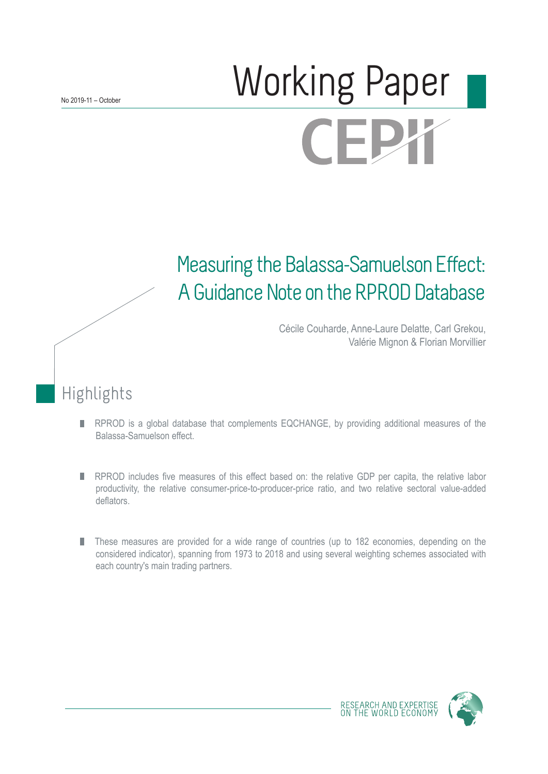# Working Paper **CEPX**

## Measuring the Balassa-Samuelson Effect: A Guidance Note on the RPROD Database

Cécile Couharde, Anne-Laure Delatte, Carl Grekou, Valérie Mignon & Florian Morvillier

## Highlights

- RPROD is a global database that complements EQCHANGE, by providing additional measures of the П Balassa-Samuelson effect.
- RPROD includes five measures of this effect based on: the relative GDP per capita, the relative labor productivity, the relative consumer-price-to-producer-price ratio, and two relative sectoral value-added deflators.
- These measures are provided for a wide range of countries (up to 182 economies, depending on the considered indicator), spanning from 1973 to 2018 and using several weighting schemes associated with each country's main trading partners.

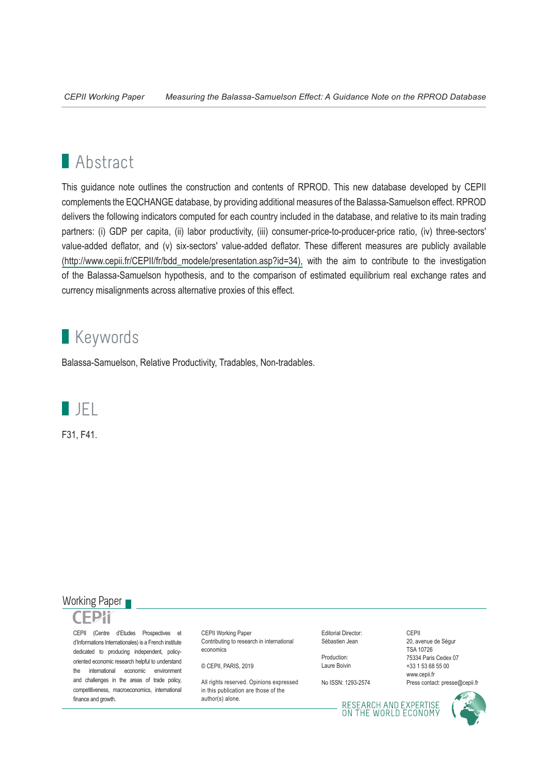## **Abstract**

This guidance note outlines the construction and contents of RPROD. This new database developed by CEPII complements the EQCHANGE database, by providing additional measures of the Balassa-Samuelson effect. RPROD delivers the following indicators computed for each country included in the database, and relative to its main trading partners: (i) GDP per capita, (ii) labor productivity, (iii) consumer-price-to-producer-price ratio, (iv) three-sectors' value-added deflator, and (v) six-sectors' value-added deflator. These different measures are publicly available [\(http://www.cepii.fr/CEPII/fr/bdd\\_modele/presentation.asp?id=34\),](http://www.cepii.fr/CEPII/fr/bdd_modele/presentation.asp?id=34) with the aim to contribute to the investigation of the Balassa-Samuelson hypothesis, and to the comparison of estimated equilibrium real exchange rates and currency misalignments across alternative proxies of this effect.

## **Keywords**

Balassa-Samuelson, Relative Productivity, Tradables, Non-tradables.



F31, F41.

### Working Paper

CEPII (Centre d'Etudes Prospectives et d'Informations Internationales) is a French institute dedicated to producing independent, policyoriented economic research helpful to understand the international economic environment and challenges in the areas of trade policy, competitiveness, macroeconomics, international finance and growth.

CEPII Working Paper Contributing to research in international economics

© CEPII, PARIS, 2019

All rights reserved. Opinions expressed. in this publication are those of the author(s) alone.

Editorial Director: Sébastien Jean

Production: Laure Boivin

No ISSN: 1293-2574

CEPII 20, avenue de Ségur TSA 10726 75334 Paris Cedex 07 +33 1 53 68 55 00 www.cepii.fr Press contact: presse@cepii.fr

RESEARCH AND EXPERTISE<br>ON THE WORLD ECONOMY

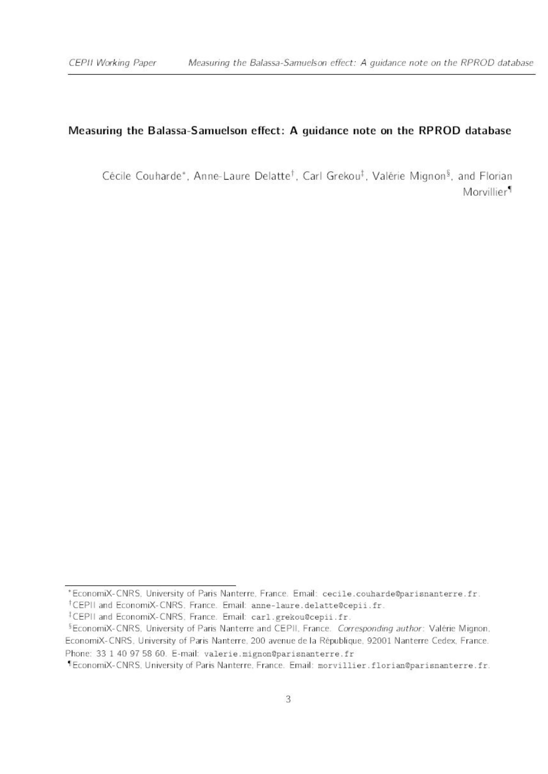#### Measuring the Balassa-Samuelson effect: A guidance note on the RPROD database

Cécile Couharde\*, Anne-Laure Delatte<sup>†</sup>, Carl Grekou<sup>‡</sup>, Valérie Mignon<sup>§</sup>, and Florian Morvillier<sup>9</sup>

<sup>\*</sup>EconomiX-CNRS, University of Paris Nanterre, France. Email: cecile.couharde@parisnanterre.fr.

<sup>&</sup>lt;sup>†</sup>CEPII and EconomiX-CNRS, France. Email: anne-laure.delatte@cepii.fr.

<sup>&</sup>lt;sup>1</sup>CEPII and EconomiX-CNRS, France. Email: carl.grekou@cepii.fr.

<sup>&</sup>lt;sup>§</sup> EconomiX-CNRS, University of Paris Nanterre and CEPII, France. Corresponding author: Valérie Mignon, EconomiX-CNRS, University of Paris Nanterre, 200 avenue de la République, 92001 Nanterre Cedex, France. Phone: 33 1 40 97 58 60. E-mail: valerie.mignon@parisnanterre.fr

<sup>&</sup>lt;sup>1</sup>EconomiX-CNRS, University of Paris Nanterre, France. Email: morvillier.florian@parisnanterre.fr.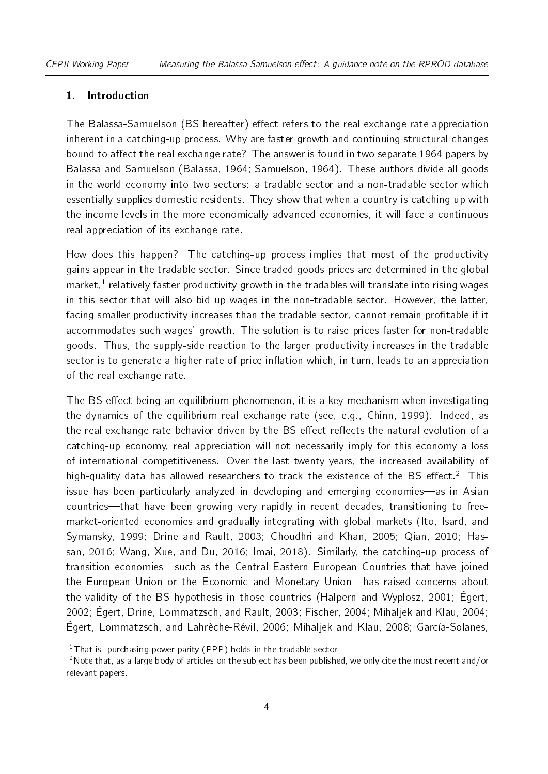#### 1. Introduction

The Balassa-Samuelson (BS hereafter) effect refers to the real exchange rate appreciation inherent in a catching-up process. Why are faster growth and continuing structural changes bound to affect the real exchange rate? The answer is found in two separate 1964 papers by Balassa and Samuelson [\(Balassa,](#page-19-0) [1964;](#page-19-0) [Samuelson,](#page-21-0) [1964\)](#page-21-0). These authors divide all goods in the world economy into two sectors: a tradable sector and a non-tradable sector which essentially supplies domestic residents. They show that when a country is catching up with the income levels in the more economically advanced economies, it will face a continuous real appreciation of its exchange rate.

How does this happen? The catching-up process implies that most of the productivity gains appear in the tradable sector. Since traded goods prices are determined in the global market,<sup>[1](#page-3-0)</sup> relatively faster productivity growth in the tradables will translate into rising wages in this sector that will also bid up wages in the non-tradable sector. However, the latter, facing smaller productivity increases than the tradable sector, cannot remain profitable if it accommodates such wages' growth. The solution is to raise prices faster for non-tradable goods. Thus, the supply-side reaction to the larger productivity increases in the tradable sector is to generate a higher rate of price inflation which, in turn, leads to an appreciation of the real exchange rate.

The BS effect being an equilibrium phenomenon, it is a key mechanism when investigating the dynamics of the equilibrium real exchange rate (see, e.g., [Chinn,](#page-19-1) [1999\)](#page-19-1). Indeed, as the real exchange rate behavior driven by the BS effect reflects the natural evolution of a catching-up economy, real appreciation will not necessarily imply for this economy a loss of international competitiveness. Over the last twenty years, the increased availability of high-quality data has allowed researchers to track the existence of the BS effect.<sup>[2](#page-3-1)</sup> This issue has been particularly analyzed in developing and emerging economies—as in Asian countries—that have been growing very rapidly in recent decades, transitioning to freemarket-oriented economies and gradually integrating with global markets [\(Ito, Isard, and](#page-21-1) [Symansky,](#page-21-1) [1999;](#page-21-1) [Drine and Rault,](#page-20-0) [2003;](#page-20-0) [Choudhri and Khan,](#page-20-1) [2005;](#page-20-1) [Qian,](#page-21-2) [2010;](#page-21-2) [Has](#page-20-2)[san,](#page-20-2) [2016;](#page-20-2) [Wang, Xue, and Du,](#page-22-0) [2016;](#page-22-0) [Imai,](#page-20-3) [2018\)](#page-20-3). Similarly, the catching-up process of transition economies—such as the Central Eastern European Countries that have joined the European Union or the Economic and Monetary Union-has raised concerns about the validity of the BS hypothesis in those countries [\(Halpern and Wyplosz,](#page-20-4) [2001;](#page-20-4) [Égert,](#page-20-5) [2002;](#page-20-5) [Égert, Drine, Lommatzsch, and Rault,](#page-20-6) [2003;](#page-20-6) [Fischer,](#page-20-7) [2004;](#page-20-7) [Mihaljek and Klau,](#page-21-3) [2004;](#page-21-3) [Égert, Lommatzsch, and Lahrèche-Révil,](#page-20-8) [2006;](#page-20-8) [Mihaljek and Klau,](#page-21-4) [2008;](#page-21-4) [García-Solanes,](#page-20-9)

<span id="page-3-0"></span> $\overline{1}$ [That is, purchasing power parity \(PPP\) holds in the tradable sector.](#page-20-9)

<span id="page-3-1"></span><sup>2</sup>[Note that, as a large body of articles on the subject has been published, we only cite the most recent and/or](#page-20-9) [relevant papers.](#page-20-9)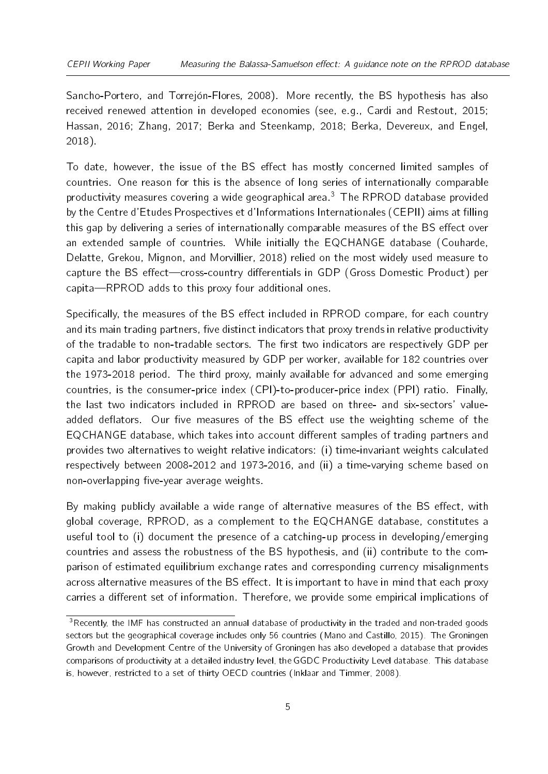[Sancho-Portero, and Torrejón-Flores,](#page-20-9) [2008\)](#page-20-9). More recently, the BS hypothesis has also received renewed attention in developed economies (see, e.g., [Cardi and Restout,](#page-19-2) [2015;](#page-19-2) [Hassan,](#page-20-2) [2016;](#page-20-2) [Zhang,](#page-22-1) [2017;](#page-22-1) [Berka and Steenkamp,](#page-19-3) [2018;](#page-19-3) [Berka, Devereux, and Engel,](#page-19-4) [2018\)](#page-19-4).

To date, however, the issue of the BS effect has mostly concerned limited samples of countries. One reason for this is the absence of long series of internationally comparable productivity measures covering a wide geographical area.[3](#page-4-0) The RPROD database provided by the Centre d'Etudes Prospectives et d'Informations Internationales (CEPII) aims at filling this gap by delivering a series of internationally comparable measures of the BS effect over an extended sample of countries. While initially the EQCHANGE database [\(Couharde,](#page-20-10) [Delatte, Grekou, Mignon, and Morvillier,](#page-20-10) [2018\)](#page-20-10) relied on the most widely used measure to capture the BS effect—cross-country differentials in GDP (Gross Domestic Product) per capita-RPROD adds to this proxy four additional ones.

Specifically, the measures of the BS effect included in RPROD compare, for each country and its main trading partners, five distinct indicators that proxy trends in relative productivity of the tradable to non-tradable sectors. The first two indicators are respectively GDP per capita and labor productivity measured by GDP per worker, available for 182 countries over the 1973-2018 period. The third proxy, mainly available for advanced and some emerging countries, is the consumer-price index (CPI)-to-producer-price index (PPI) ratio. Finally, the last two indicators included in RPROD are based on three- and six-sectors' valueadded deflators. Our five measures of the BS effect use the weighting scheme of the EQCHANGE database, which takes into account different samples of trading partners and provides two alternatives to weight relative indicators: (i) time-invariant weights calculated respectively between 2008-2012 and 1973-2016, and (ii) a time-varying scheme based on non-overlapping five-year average weights.

By making publicly available a wide range of alternative measures of the BS effect, with global coverage, RPROD, as a complement to the EQCHANGE database, constitutes a useful tool to (i) document the presence of a catching-up process in developing/emerging countries and assess the robustness of the BS hypothesis, and (ii) contribute to the comparison of estimated equilibrium exchange rates and corresponding currency misalignments across alternative measures of the BS effect. It is important to have in mind that each proxy carries a different set of information. Therefore, we provide some empirical implications of

<span id="page-4-0"></span><sup>&</sup>lt;sup>3</sup>Recently, the IMF has constructed an annual database of productivity in the traded and non-traded goods sectors but the geographical coverage includes only 56 countries [\(Mano and Castillo,](#page-21-5) [2015\)](#page-21-5). The Groningen Growth and Development Centre of the University of Groningen has also developed a database that provides comparisons of productivity at a detailed industry level, the GGDC Productivity Level database. This database is, however, restricted to a set of thirty OECD countries [\(Inklaar and Timmer,](#page-21-6) [2008\)](#page-21-6).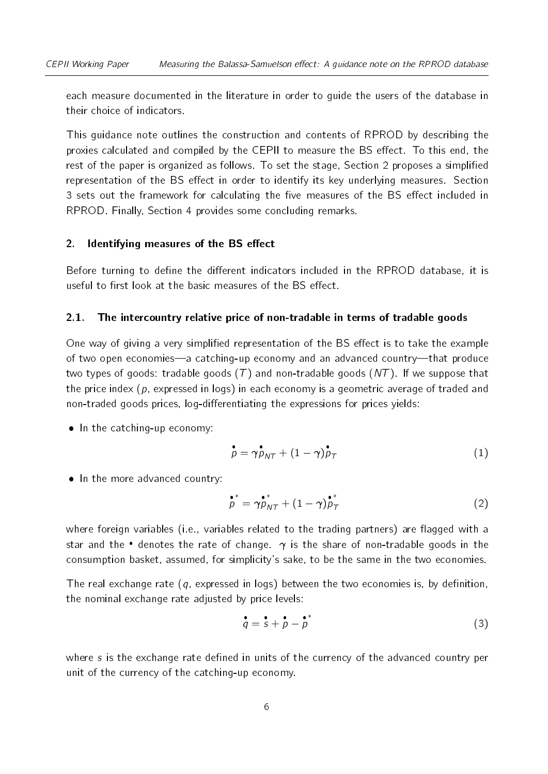each measure documented in the literature in order to guide the users of the database in their choice of indicators.

This guidance note outlines the construction and contents of RPROD by describing the proxies calculated and compiled by the CEPII to measure the BS effect. To this end, the rest of the paper is organized as follows. To set the stage, Section 2 proposes a simplified representation of the BS effect in order to identify its key underlying measures. Section 3 sets out the framework for calculating the five measures of the BS effect included in RPROD. Finally, Section 4 provides some concluding remarks.

#### 2. Identifying measures of the BS effect

Before turning to define the different indicators included in the RPROD database, it is useful to first look at the basic measures of the BS effect.

#### 2.1. The intercountry relative price of non-tradable in terms of tradable goods

One way of giving a very simplified representation of the BS effect is to take the example of two open economies—a catching-up economy and an advanced country—that produce two types of goods: tradable goods  $(T)$  and non-tradable goods  $(NT)$ . If we suppose that the price index  $(p,$  expressed in logs) in each economy is a geometric average of traded and non-traded goods prices, log-differentiating the expressions for prices yields:

• In the catching-up economy:

<span id="page-5-1"></span><span id="page-5-0"></span>
$$
\stackrel{\bullet}{\rho} = \gamma \stackrel{\bullet}{\rho}_{NT} + (1 - \gamma) \stackrel{\bullet}{\rho}_T \tag{1}
$$

• In the more advanced country:

$$
\stackrel{\bullet}{\rho}^* = \gamma \stackrel{\bullet}{\rho}_{N\mathcal{T}}^* + (1 - \gamma) \stackrel{\bullet}{\rho}_{\mathcal{T}}^* \tag{2}
$$

where foreign variables (i.e., variables related to the trading partners) are flagged with a star and the • denotes the rate of change.  $\gamma$  is the share of non-tradable goods in the consumption basket, assumed, for simplicity's sake, to be the same in the two economies.

The real exchange rate ( $q$ , expressed in logs) between the two economies is, by definition, the nominal exchange rate adjusted by price levels:

<span id="page-5-2"></span>
$$
\dot{\bar{q}} = \dot{\bar{s}} + \dot{\bar{p}} - \dot{\bar{p}}^*
$$
 (3)

where s is the exchange rate defined in units of the currency of the advanced country per unit of the currency of the catching-up economy.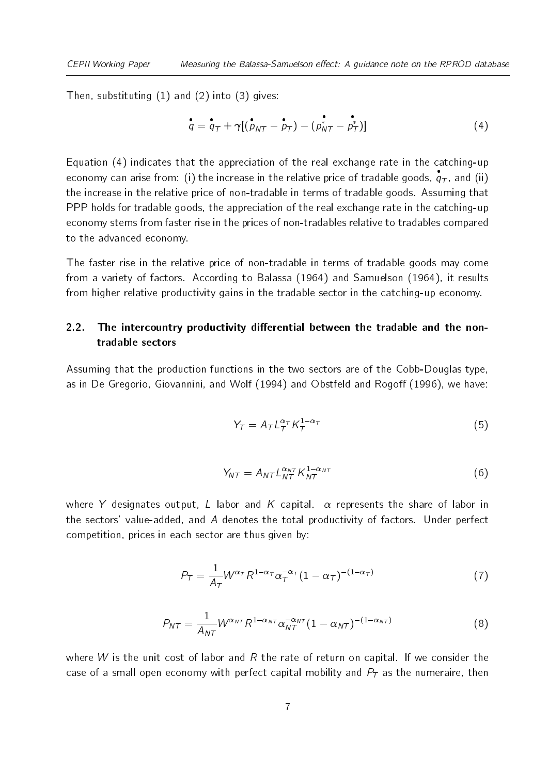Then, substituting [\(1\)](#page-5-0) and [\(2\)](#page-5-1) into [\(3\)](#page-5-2) gives:

<span id="page-6-0"></span>
$$
\dot{\tilde{q}} = \dot{\tilde{q}}_T + \gamma [(\dot{\tilde{p}}_{NT} - \dot{\tilde{p}}_T) - (\tilde{p}_{NT}^* - \tilde{p}_T^*)]
$$
\n(4)

Equation [\(4\)](#page-6-0) indicates that the appreciation of the real exchange rate in the catching-up economy can arise from: (i) the increase in the relative price of tradable goods,  $\overset{\bullet}{q}_{\mathcal{T}}$ , and (ii) the increase in the relative price of non-tradable in terms of tradable goods. Assuming that PPP holds for tradable goods, the appreciation of the real exchange rate in the catching-up economy stems from faster rise in the prices of non-tradables relative to tradables compared to the advanced economy.

The faster rise in the relative price of non-tradable in terms of tradable goods may come from a variety of factors. According to [Balassa](#page-19-0) [\(1964\)](#page-19-0) and [Samuelson](#page-21-0) [\(1964\)](#page-21-0), it results from higher relative productivity gains in the tradable sector in the catching-up economy.

#### 2.2. The intercountry productivity differential between the tradable and the nontradable sectors

Assuming that the production functions in the two sectors are of the Cobb-Douglas type, as in [De Gregorio, Giovannini, and Wolf](#page-20-11) [\(1994\)](#page-20-11) and [Obstfeld and Rogo](#page-21-7)ff [\(1996\)](#page-21-7), we have:

$$
Y_T = A_T L_T^{\alpha_T} K_T^{1-\alpha_T} \tag{5}
$$

$$
Y_{NT} = A_{NT} L_{NT}^{\alpha_{NT}} K_{NT}^{1-\alpha_{NT}} \tag{6}
$$

where Y designates output, L labor and K capital.  $\alpha$  represents the share of labor in the sectors' value-added, and A denotes the total productivity of factors. Under perfect competition, prices in each sector are thus given by:

$$
P_T = \frac{1}{A_T} W^{\alpha_T} R^{1-\alpha_T} \alpha_T^{-\alpha_T} (1-\alpha_T)^{-(1-\alpha_T)}
$$
(7)

$$
P_{NT} = \frac{1}{A_{NT}} W^{\alpha_{NT}} R^{1-\alpha_{NT}} \alpha_{NT}^{-\alpha_{NT}} (1-\alpha_{NT})^{-(1-\alpha_{NT})}
$$
(8)

where W is the unit cost of labor and R the rate of return on capital. If we consider the case of a small open economy with perfect capital mobility and  $P_T$  as the numeraire, then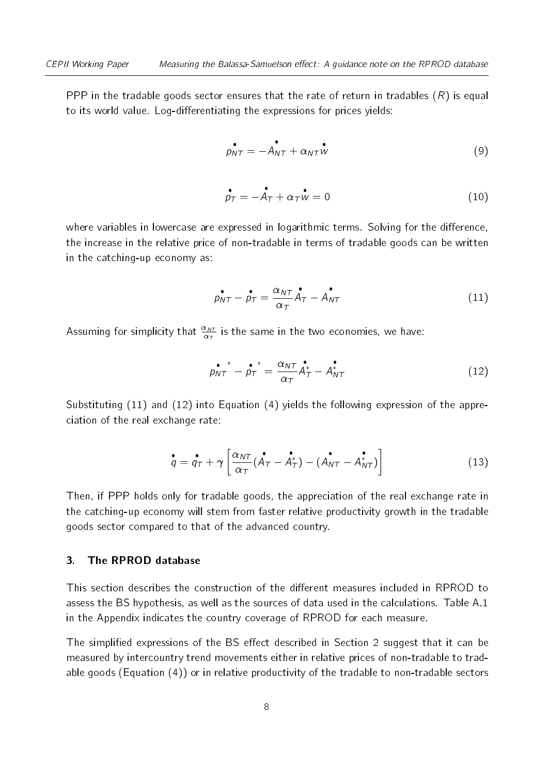PPP in the tradable goods sector ensures that the rate of return in tradables  $(R)$  is equal to its world value. Log-differentiating the expressions for prices yields:

$$
\mathbf{p}_{NT} = -\mathbf{A}_{NT} + \alpha_{NT} \mathbf{w} \tag{9}
$$

$$
\stackrel{\bullet}{p_T} = -\stackrel{\bullet}{A_T} + \alpha_T \stackrel{\bullet}{w} = 0 \tag{10}
$$

<span id="page-7-0"></span>where variables in lowercase are expressed in logarithmic terms. Solving for the difference, the increase in the relative price of non-tradable in terms of tradable goods can be written in the catching-up economy as:

$$
\rho_{NT}^{\bullet} - \rho_T^{\bullet} = \frac{\alpha_{NT} \cdot \sigma}{\alpha_T} \mathcal{A}_T - \mathcal{A}_{NT}^{\bullet} \tag{11}
$$

<span id="page-7-1"></span>Assuming for simplicity that  $\frac{\alpha_{NT}}{\alpha_T}$  is the same in the two economies, we have:

$$
\rho_{NT}^{\bullet \bullet \bullet^*} - \rho_T^{\bullet \bullet^*} = \frac{\alpha_{NT} \bullet^*}{\alpha_T} A^*_{T} - A^*_{NT}
$$
\n(12)

<span id="page-7-2"></span>Substituting [\(11\)](#page-7-0) and [\(12\)](#page-7-1) into Equation [\(4\)](#page-6-0) yields the following expression of the appreciation of the real exchange rate:

$$
\dot{\tilde{q}} = \dot{\tilde{q}}_T + \gamma \left[ \frac{\alpha_{NT}}{\alpha_T} (\dot{\tilde{A}}_T - \dot{\tilde{A}}_T^*) - (\dot{A}_{NT} - \dot{A}_{NT}^*) \right]
$$
(13)

Then, if PPP holds only for tradable goods, the appreciation of the real exchange rate in the catching-up economy will stem from faster relative productivity growth in the tradable goods sector compared to that of the advanced country.

#### 3. The RPROD database

This section describes the construction of the different measures included in RPROD to assess the BS hypothesis, as well as the sources of data used in the calculations. Table [A.1](#page-16-0) in the Appendix indicates the country coverage of RPROD for each measure.

The simplified expressions of the BS effect described in Section 2 suggest that it can be measured by intercountry trend movements either in relative prices of non-tradable to tradable goods (Equation [\(4\)](#page-6-0)) or in relative productivity of the tradable to non-tradable sectors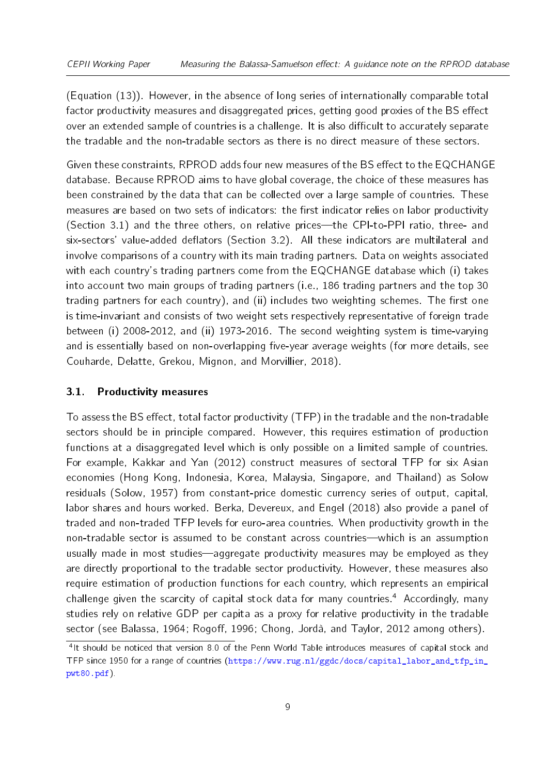(Equation [\(13\)](#page-7-2)). However, in the absence of long series of internationally comparable total factor productivity measures and disaggregated prices, getting good proxies of the BS effect over an extended sample of countries is a challenge. It is also difficult to accurately separate the tradable and the non-tradable sectors as there is no direct measure of these sectors.

Given these constraints, RPROD adds four new measures of the BS effect to the  $EQCHANGE$ database. Because RPROD aims to have global coverage, the choice of these measures has been constrained by the data that can be collected over a large sample of countries. These measures are based on two sets of indicators: the first indicator relies on labor productivity (Section 3.1) and the three others, on relative prices—the CPI-to-PPI ratio, three- and six-sectors' value-added deflators (Section 3.2). All these indicators are multilateral and involve comparisons of a country with its main trading partners. Data on weights associated with each country's trading partners come from the EQCHANGE database which (i) takes into account two main groups of trading partners (i.e., 186 trading partners and the top 30 trading partners for each country), and (ii) includes two weighting schemes. The first one is time-invariant and consists of two weight sets respectively representative of foreign trade between (i) 2008-2012, and (ii) 1973-2016. The second weighting system is time-varying and is essentially based on non-overlapping five-year average weights (for more details, see [Couharde, Delatte, Grekou, Mignon, and Morvillier,](#page-20-10) [2018\)](#page-20-10).

### 3.1. Productivity measures

To assess the BS effect, total factor productivity (TFP) in the tradable and the non-tradable sectors should be in principle compared. However, this requires estimation of production functions at a disaggregated level which is only possible on a limited sample of countries. For example, [Kakkar and Yan](#page-21-8) [\(2012\)](#page-21-8) construct measures of sectoral TFP for six Asian economies (Hong Kong, Indonesia, Korea, Malaysia, Singapore, and Thailand) as Solow residuals [\(Solow,](#page-22-2) [1957\)](#page-22-2) from constant-price domestic currency series of output, capital, labor shares and hours worked. [Berka, Devereux, and Engel](#page-19-4) [\(2018\)](#page-19-4) also provide a panel of traded and non-traded TFP levels for euro-area countries. When productivity growth in the non-tradable sector is assumed to be constant across countries—which is an assumption usually made in most studies—aggregate productivity measures may be employed as they are directly proportional to the tradable sector productivity. However, these measures also require estimation of production functions for each country, which represents an empirical challenge given the scarcity of capital stock data for many countries.<sup>[4](#page-8-0)</sup> Accordingly, many studies rely on relative GDP per capita as a proxy for relative productivity in the tradable sector (see [Balassa,](#page-19-0) [1964;](#page-19-0) Rogoff, [1996;](#page-21-9) [Chong, Jordà, and Taylor,](#page-19-5) [2012](#page-19-5) among others).

<span id="page-8-0"></span><sup>&</sup>lt;sup>4</sup>lt should be noticed that version 8.0 of the Penn World Table introduces measures of capital stock and TFP since 1950 for a range of countries [\(https://www.rug.nl/ggdc/docs/capital\\_labor\\_and\\_tfp\\_in\\_](https://www.rug.nl/ggdc/docs/capital_labor_and_tfp_in_pwt80.pdf) [pwt80.pdf\)](https://www.rug.nl/ggdc/docs/capital_labor_and_tfp_in_pwt80.pdf).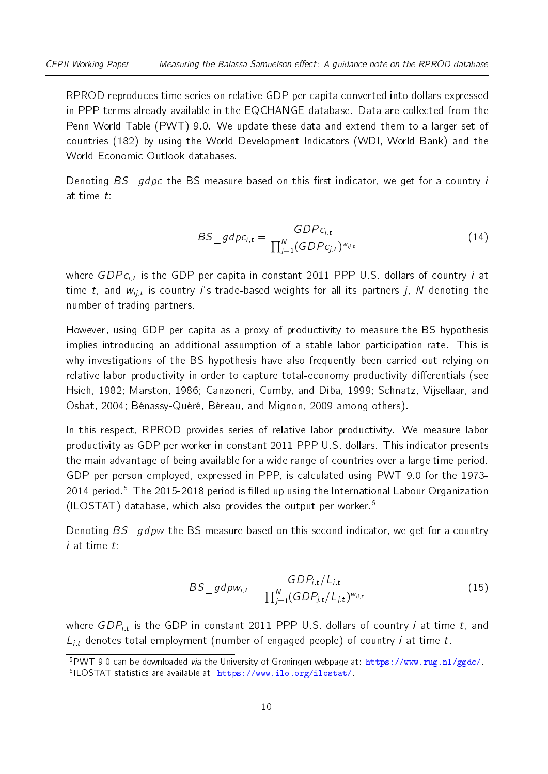RPROD reproduces time series on relative GDP per capita converted into dollars expressed in PPP terms already available in the EQCHANGE database. Data are collected from the Penn World Table (PWT) 9.0. We update these data and extend them to a larger set of countries (182) by using the World Development Indicators (WDI, World Bank) and the World Economic Outlook databases.

Denoting  $BS$  gdpc the BS measure based on this first indicator, we get for a country i at time t:

$$
BS\_gdpc_{i,t} = \frac{GDPc_{i,t}}{\prod_{j=1}^{N} (GDPc_{j,t})^{w_{ij,t}}}
$$
(14)

where  $GDPc_{i,t}$  is the GDP per capita in constant 2011 PPP U.S. dollars of country *i* at time t, and  $w_{i,j,t}$  is country i's trade-based weights for all its partners j, N denoting the number of trading partners.

However, using GDP per capita as a proxy of productivity to measure the BS hypothesis implies introducing an additional assumption of a stable labor participation rate. This is why investigations of the BS hypothesis have also frequently been carried out relying on relative labor productivity in order to capture total-economy productivity differentials (see [Hsieh,](#page-20-12) [1982;](#page-20-12) [Marston,](#page-21-10) [1986;](#page-21-10) [Canzoneri, Cumby, and Diba,](#page-19-6) [1999;](#page-19-6) [Schnatz, Vijsellaar, and](#page-22-3) [Osbat,](#page-22-3) [2004;](#page-22-3) [Bénassy-Quéré, Béreau, and Mignon,](#page-19-7) [2009](#page-19-7) among others).

In this respect, RPROD provides series of relative labor productivity. We measure labor productivity as GDP per worker in constant 2011 PPP U.S. dollars. This indicator presents the main advantage of being available for a wide range of countries over a large time period. GDP per person employed, expressed in PPP, is calculated using PWT 9.0 for the 1973- 2014 period.<sup>[5](#page-9-0)</sup> The 2015-2018 period is filled up using the International Labour Organization (ILOSTAT) database, which also provides the output per worker.<sup>[6](#page-9-1)</sup>

Denoting BS gdpw the BS measure based on this second indicator, we get for a country  $i$  at time  $t$ :

$$
BS\_gdpw_{i,t} = \frac{GDP_{i,t}/L_{i,t}}{\prod_{j=1}^{N} (GDP_{j,t}/L_{j,t})^{w_{ij,t}}}
$$
(15)

where  $GDP_{i,t}$  is the GDP in constant 2011 PPP U.S. dollars of country *i* at time t, and  $L_{i,t}$  denotes total employment (number of engaged people) of country *i* at time *t*.

<span id="page-9-1"></span><span id="page-9-0"></span><sup>&</sup>lt;sup>5</sup>PWT 9.0 can be downloaded via the University of Groningen webpage at: [https://www.rug.nl/ggdc/.](https://www.rug.nl/ggdc/) 6 ILOSTAT statistics are available at: [https://www.ilo.org/ilostat/.](https://www.ilo.org/ilostat/)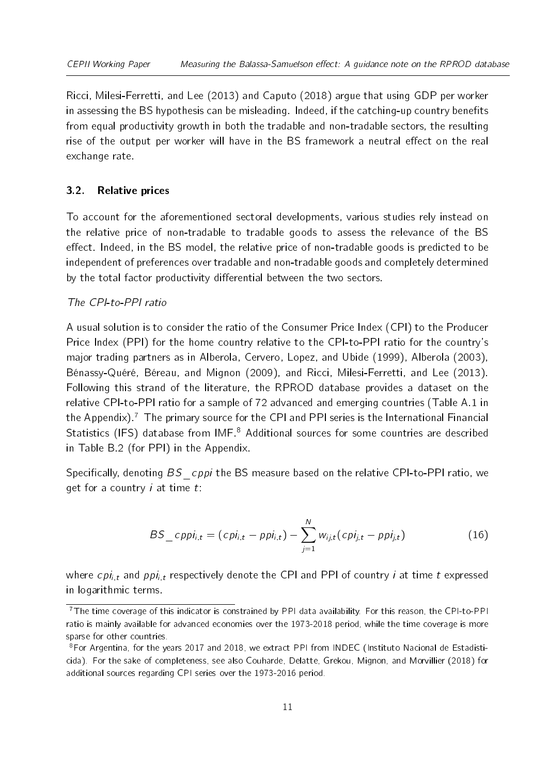[Ricci, Milesi-Ferretti, and Lee](#page-21-11) [\(2013\)](#page-21-11) and [Caputo](#page-19-8) [\(2018\)](#page-19-8) argue that using GDP per worker in assessing the BS hypothesis can be misleading. Indeed, if the catching-up country benefits from equal productivity growth in both the tradable and non-tradable sectors, the resulting rise of the output per worker will have in the BS framework a neutral effect on the real exchange rate.

#### 3.2. Relative prices

To account for the aforementioned sectoral developments, various studies rely instead on the relative price of non-tradable to tradable goods to assess the relevance of the BS effect. Indeed, in the BS model, the relative price of non-tradable goods is predicted to be independent of preferences over tradable and non-tradable goods and completely determined by the total factor productivity differential between the two sectors.

#### The CPI-to-PPI ratio

A usual solution is to consider the ratio of the Consumer Price Index (CPI) to the Producer Price Index (PPI) for the home country relative to the CPI-to-PPI ratio for the country's major trading partners as in [Alberola, Cervero, Lopez, and Ubide](#page-19-9) [\(1999\)](#page-19-9), [Alberola](#page-19-10) [\(2003\)](#page-19-10), [Bénassy-Quéré, Béreau, and Mignon](#page-19-7) [\(2009\)](#page-19-7), and [Ricci, Milesi-Ferretti, and Lee](#page-21-11) [\(2013\)](#page-21-11). Following this strand of the literature, the RPROD database provides a dataset on the relative CPI-to-PPI ratio for a sample of 72 advanced and emerging countries (Table [A.1](#page-16-0) in the Appendix).<sup>[7](#page-10-0)</sup> The primary source for the CPI and PPI series is the International Financial Statistics (IFS) database from IMF.<sup>[8](#page-10-1)</sup> Additional sources for some countries are described in Table [B.2](#page-17-0) (for PPI) in the Appendix.

Specifically, denoting  $BS$  cppi the BS measure based on the relative CPI-to-PPI ratio, we get for a country  $i$  at time  $t$ :

$$
BS\_cppi_{i,t} = (cpi_{i,t} - ppi_{i,t}) - \sum_{j=1}^{N} w_{ij,t} (cpi_{j,t} - ppi_{j,t})
$$
 (16)

where  $c\rho i_{i,t}$  and  $\rho\rho i_{i,t}$  respectively denote the CPI and PPI of country *i* at time *t* expressed in logarithmic terms.

<span id="page-10-0"></span><sup>&</sup>lt;sup>7</sup>The time coverage of this indicator is constrained by PPI data availability. For this reason, the CPI-to-PPI ratio is mainly available for advanced economies over the 1973-2018 period, while the time coverage is more sparse for other countries.

<span id="page-10-1"></span><sup>&</sup>lt;sup>8</sup>For Argentina, for the years 2017 and 2018, we extract PPI from INDEC (Instituto Nacional de Estadisticida). For the sake of completeness, see also [Couharde, Delatte, Grekou, Mignon, and Morvillier](#page-20-10) [\(2018\)](#page-20-10) for additional sources regarding CPI series over the 1973-2016 period.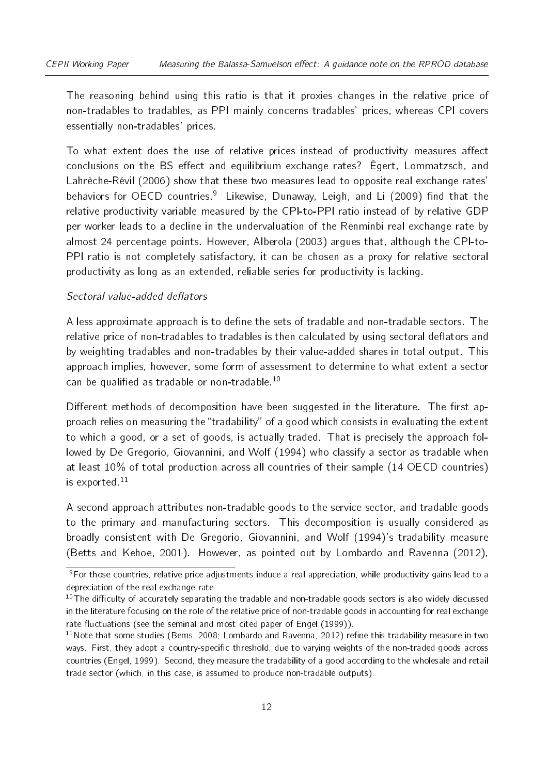The reasoning behind using this ratio is that it proxies changes in the relative price of non-tradables to tradables, as PPI mainly concerns tradables' prices, whereas CPI covers essentially non-tradables' prices.

To what extent does the use of relative prices instead of productivity measures affect conclusions on the BS effect and equilibrium exchange rates? Egert, Lommatzsch, and [Lahrèche-Révil](#page-20-8) [\(2006\)](#page-20-8) show that these two measures lead to opposite real exchange rates' behaviors for OECD countries.<sup>[9](#page-11-0)</sup> Likewise, [Dunaway, Leigh, and Li](#page-20-13) [\(2009\)](#page-20-13) find that the relative productivity variable measured by the CPI-to-PPI ratio instead of by relative GDP per worker leads to a decline in the undervaluation of the Renminbi real exchange rate by almost 24 percentage points. However, [Alberola](#page-19-10) [\(2003\)](#page-19-10) argues that, although the CPI-to-PPI ratio is not completely satisfactory, it can be chosen as a proxy for relative sectoral productivity as long as an extended, reliable series for productivity is lacking.

#### Sectoral value-added deflators

A less approximate approach is to define the sets of tradable and non-tradable sectors. The relative price of non-tradables to tradables is then calculated by using sectoral deflators and by weighting tradables and non-tradables by their value-added shares in total output. This approach implies, however, some form of assessment to determine to what extent a sector can be qualified as tradable or non-tradable.<sup>[10](#page-11-1)</sup>

Different methods of decomposition have been suggested in the literature. The first approach relies on measuring the "tradability" of a good which consists in evaluating the extent to which a good, or a set of goods, is actually traded. That is precisely the approach followed by [De Gregorio, Giovannini, and Wolf](#page-20-11) [\(1994\)](#page-20-11) who classify a sector as tradable when at least 10% of total production across all countries of their sample (14 OECD countries) is exported  $11$ 

A second approach attributes non-tradable goods to the service sector, and tradable goods to the primary and manufacturing sectors. This decomposition is usually considered as broadly consistent with [De Gregorio, Giovannini, and Wolf](#page-20-11) [\(1994\)](#page-20-11)'s tradability measure [\(Betts and Kehoe,](#page-19-11) [2001\)](#page-19-11). However, as pointed out by [Lombardo and Ravenna](#page-21-12) [\(2012\)](#page-21-12),

<span id="page-11-0"></span> $9$ For those countries, relative price adjustments induce a real appreciation, while productivity gains lead to a depreciation of the real exchange rate.

<span id="page-11-1"></span> $10$ The difficulty of accurately separating the tradable and non-tradable goods sectors is also widely discussed in the literature focusing on the role of the relative price of non-tradable goods in accounting for real exchange rate fluctuations (see the seminal and most cited paper of Engel (1999)).

<span id="page-11-2"></span> $11$ Note that some studies [\(Bems,](#page-19-12) [2008;](#page-19-12) [Lombardo and Ravenna,](#page-21-12) [2012\)](#page-21-12) refine this tradability measure in two ways. First, they adopt a country-specific threshold, due to varying weights of the non-traded goods across countries [\(Engel,](#page-20-14) [1999\)](#page-20-14). Second, they measure the tradability of a good according to the wholesale and retail trade sector (which, in this case, is assumed to produce non-tradable outputs).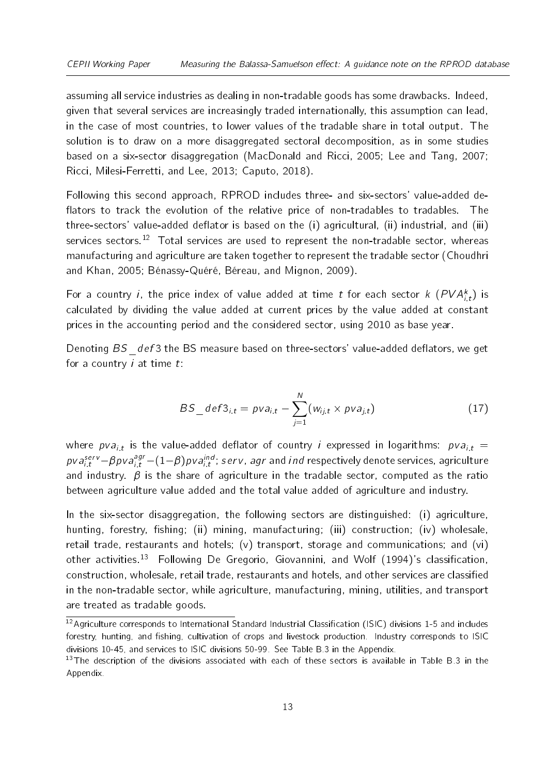assuming all service industries as dealing in non-tradable goods has some drawbacks. Indeed, given that several services are increasingly traded internationally, this assumption can lead, in the case of most countries, to lower values of the tradable share in total output. The solution is to draw on a more disaggregated sectoral decomposition, as in some studies based on a six-sector disaggregation [\(MacDonald and Ricci,](#page-21-13) [2005;](#page-21-13) [Lee and Tang,](#page-21-14) [2007;](#page-21-14) [Ricci, Milesi-Ferretti, and Lee,](#page-21-11) [2013;](#page-21-11) [Caputo,](#page-19-8) [2018\)](#page-19-8).

Following this second approach, RPROD includes three- and six-sectors' value-added de flators to track the evolution of the relative price of non-tradables to tradables. The three-sectors' value-added deflator is based on the  $(i)$  agricultural,  $(ii)$  industrial, and  $(iii)$ services sectors.<sup>[12](#page-12-0)</sup> Total services are used to represent the non-tradable sector, whereas manufacturing and agriculture are taken together to represent the tradable sector [\(Choudhri](#page-20-1) [and Khan,](#page-20-1) [2005;](#page-20-1) [Bénassy-Quéré, Béreau, and Mignon,](#page-19-7) [2009\)](#page-19-7).

For a country *i*, the price index of value added at time t for each sector  $k$   $(PVA_{i,t}^k)$  is calculated by dividing the value added at current prices by the value added at constant prices in the accounting period and the considered sector, using 2010 as base year.

Denoting BS def3 the BS measure based on three-sectors' value-added deflators, we get for a country  $i$  at time  $t$ :

$$
BS_{-}def3_{i,t} = pva_{i,t} - \sum_{j=1}^{N} (w_{ij,t} \times pva_{j,t})
$$
 (17)

where  $p \vee a_{i,t}$  is the value-added deflator of country i expressed in logarithms:  $p \vee a_{i,t}$  =  $p$ va $^{serv}_{i,t}$   $- \beta p$ va $^{agr}_{i,t}$   $- (1 - \beta) p$ va $^{ind}_{i,t}$ ;  $s$ e $r$ v,  $agr$  and  $ind$  respectively denote services, agriculture and industry.  $\beta$  is the share of agriculture in the tradable sector, computed as the ratio between agriculture value added and the total value added of agriculture and industry.

In the six-sector disaggregation, the following sectors are distinguished: (i) agriculture, hunting, forestry, fishing; (ii) mining, manufacturing; (iii) construction; (iv) wholesale, retail trade, restaurants and hotels; (v) transport, storage and communications; and (vi) other activities.<sup>[13](#page-12-1)</sup> Following [De Gregorio, Giovannini, and Wolf](#page-20-11)  $(1994)'$  $(1994)'$ s classification, construction, wholesale, retail trade, restaurants and hotels, and other services are classied in the non-tradable sector, while agriculture, manufacturing, mining, utilities, and transport are treated as tradable goods.

<span id="page-12-0"></span> $12$ Agriculture corresponds to International Standard Industrial Classification (ISIC) divisions 1-5 and includes forestry, hunting, and fishing, cultivation of crops and livestock production. Industry corresponds to ISIC divisions 10-45, and services to ISIC divisions 50-99. See Table [B.3](#page-18-0) in the Appendix.

<span id="page-12-1"></span><sup>&</sup>lt;sup>13</sup>The description of the divisions associated with each of these sectors is available in Table [B.3](#page-18-0) in the Appendix.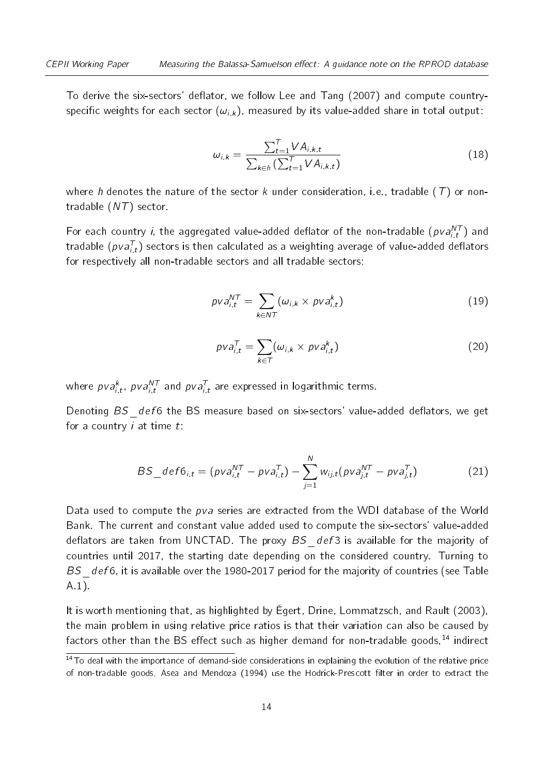To derive the six-sectors' deflator, we follow [Lee and Tang](#page-21-14) [\(2007\)](#page-21-14) and compute countryspecific weights for each sector  $(\omega_{i,k})$ , measured by its value-added share in total output:

$$
\omega_{i,k} = \frac{\sum_{t=1}^{T} V A_{i,k,t}}{\sum_{k \in h} (\sum_{t=1}^{T} V A_{i,k,t})}
$$
(18)

where h denotes the nature of the sector k under consideration, i.e., tradable  $(T)$  or nontradable (NT) sector.

For each country i, the aggregated value-added deflator of the non-tradable  $(pva_{i,t}^{NT})$  and tradable  $(\rho v a_{i,t}^{\mathcal{T}})$  sectors is then calculated as a weighting average of value-added deflators for respectively all non-tradable sectors and all tradable sectors:

$$
p \vee a_{i,t}^{NT} = \sum_{k \in NT} (\omega_{i,k} \times p \vee a_{i,t}^k)
$$
 (19)

$$
p \vee a_{i,t}^T = \sum_{k \in \mathcal{T}} (\omega_{i,k} \times p \vee a_{i,t}^k)
$$
 (20)

where  $p \nu a_{i,t}^k$ ,  $p \nu a_{i,t}^{NT}$  and  $p \nu a_{i,t}^T$  are expressed in logarithmic terms.

Denoting BS def6 the BS measure based on six-sectors' value-added deflators, we get for a country  $i$  at time  $t$ :

$$
BS\_def6_{i,t} = (pva_{i,t}^{NT} - pva_{i,t}^{T}) - \sum_{j=1}^{N} w_{ij,t}(pva_{j,t}^{NT} - pva_{j,t}^{T})
$$
(21)

Data used to compute the *pva* series are extracted from the WDI database of the World Bank. The current and constant value added used to compute the six-sectors' value-added deflators are taken from UNCTAD. The proxy  $BS$  def 3 is available for the majority of countries until 2017, the starting date depending on the considered country. Turning to BS def6, it is available over the 1980-2017 period for the majority of countries (see Table [A.1\)](#page-16-0).

It is worth mentioning that, as highlighted by [Égert, Drine, Lommatzsch, and Rault](#page-20-6) [\(2003\)](#page-20-6), the main problem in using relative price ratios is that their variation can also be caused by factors other than the BS effect such as higher demand for non-tradable goods,<sup>[14](#page-13-0)</sup> indirect

<span id="page-13-0"></span><sup>14</sup>To deal with the importance of demand-side considerations in explaining the evolution of the relative price of non-tradable goods, [Asea and Mendoza](#page-19-13) [\(1994\)](#page-19-13) use the Hodrick-Prescott filter in order to extract the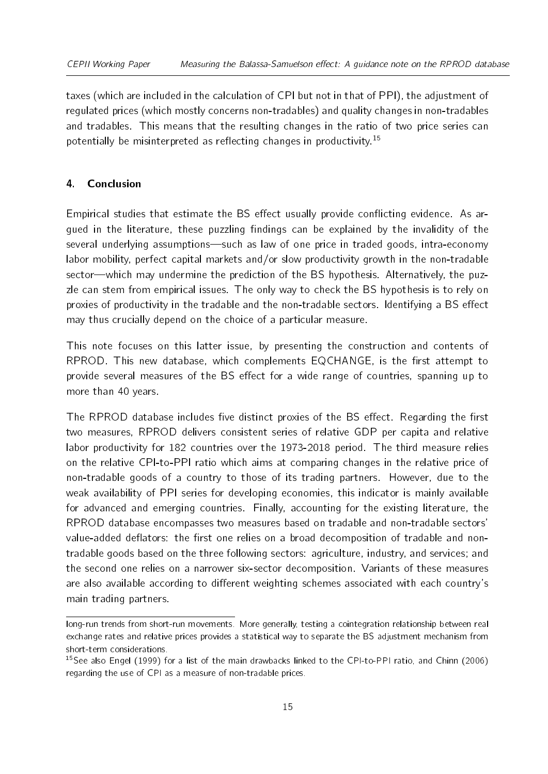taxes (which are included in the calculation of CPI but not in that of PPI), the adjustment of regulated prices (which mostly concerns non-tradables) and quality changes in non-tradables and tradables. This means that the resulting changes in the ratio of two price series can potentially be misinterpreted as reflecting changes in productivity.<sup>[15](#page-14-0)</sup>

#### 4. Conclusion

Empirical studies that estimate the BS effect usually provide conflicting evidence. As argued in the literature, these puzzling findings can be explained by the invalidity of the several underlying assumptions—such as law of one price in traded goods, intra-economy labor mobility, perfect capital markets and/or slow productivity growth in the non-tradable sector—which may undermine the prediction of the BS hypothesis. Alternatively, the puzzle can stem from empirical issues. The only way to check the BS hypothesis is to rely on proxies of productivity in the tradable and the non-tradable sectors. Identifying a BS effect may thus crucially depend on the choice of a particular measure.

This note focuses on this latter issue, by presenting the construction and contents of  $RPROD$ . This new database, which complements  $EQCHANGE$ , is the first attempt to provide several measures of the BS effect for a wide range of countries, spanning up to more than 40 years.

The RPROD database includes five distinct proxies of the BS effect. Regarding the first two measures, RPROD delivers consistent series of relative GDP per capita and relative labor productivity for 182 countries over the 1973-2018 period. The third measure relies on the relative CPI-to-PPI ratio which aims at comparing changes in the relative price of non-tradable goods of a country to those of its trading partners. However, due to the weak availability of PPI series for developing economies, this indicator is mainly available for advanced and emerging countries. Finally, accounting for the existing literature, the RPROD database encompasses two measures based on tradable and non-tradable sectors' value-added deflators: the first one relies on a broad decomposition of tradable and nontradable goods based on the three following sectors: agriculture, industry, and services; and the second one relies on a narrower six-sector decomposition. Variants of these measures are also available according to different weighting schemes associated with each country's main trading partners.

long-run trends from short-run movements. More generally, testing a cointegration relationship between real exchange rates and relative prices provides a statistical way to separate the BS adjustment mechanism from short-term considerations.

<span id="page-14-0"></span><sup>&</sup>lt;sup>15</sup>See also [Engel](#page-20-14) [\(1999\)](#page-20-14) for a list of the main drawbacks linked to the CPI-to-PPI ratio, and [Chinn](#page-19-14) [\(2006\)](#page-19-14) regarding the use of CPI as a measure of non-tradable prices.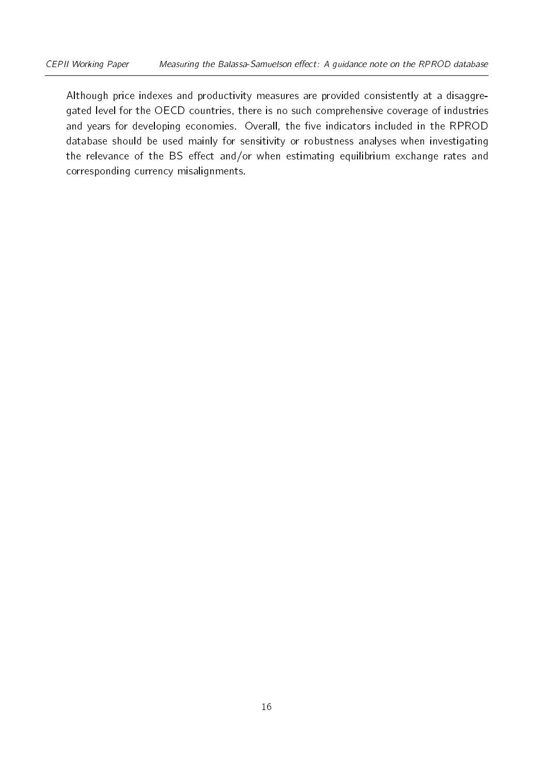Although price indexes and productivity measures are provided consistently at a disaggregated level for the OECD countries, there is no such comprehensive coverage of industries and years for developing economies. Overall, the five indicators included in the RPROD database should be used mainly for sensitivity or robustness analyses when investigating the relevance of the BS effect and/or when estimating equilibrium exchange rates and corresponding currency misalignments.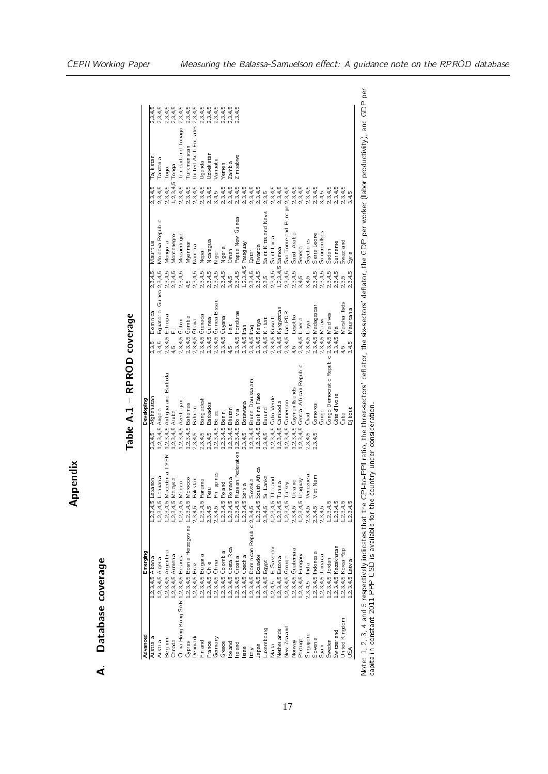| Advancec       | Emerging                               |                              | Developing                                 |                            |                                     |                               |                 |                      |                        |
|----------------|----------------------------------------|------------------------------|--------------------------------------------|----------------------------|-------------------------------------|-------------------------------|-----------------|----------------------|------------------------|
| Australia      | 1,2,3,4,5 Albania                      | Lebanon<br>1,2,3,4,5         | Afghanistan<br>2,3,4,5                     | Dominica<br>2,3,5          | Vlauritius<br>3,4,5                 |                               | 2,3,4,5         | Fajikistan           | 2,3,4,5                |
| Austria        | 1,2,3,4,5 Algeria                      | Lithuania<br>1,2,3,4,5       | 1,2,3,4,5 Angola                           | Equatorial Guinea<br>3,4,5 | 2,3,4,5                             | <b>Moldova Republic</b>       | 2,3,4,5         | Tarzania             | 2,3,4,5                |
| Belgium        | 1,2,3,4,5 Argentina                    | Macedonia TYFR<br>1,2,3,4,5  | 1,2,3,4,5 Antigua and Barbuda              | 2,3,4,5 Ethiopia           | Vlongolia<br>2,3,4,5                |                               | 2,3,4,5         | Togo                 | 2,3,4,5                |
| Canada         | 1,2,3,4,5 Armenia                      | Malaysia<br>1,2,3,4,5        | 1,2,3,4,5 Aruba                            | 4.5                        | Vlontenegro<br>2,3,4,5              |                               | 1,2,3,4,5 Tonga |                      |                        |
|                | China Hong Kong SAR 1,2,3,4,5 Belarus  | Mexico<br>1, 2, 3, 4, 5      | 1,2,3,4,5 Azerbaijan                       | 2,3,4,5 Gabon              | <b><i>Aozambique</i></b><br>2,3,4,5 |                               | 2,3,4,5         | Trinidad and Tobago  | $2,3,4,5$<br>$2,3,4,5$ |
| Cyprus         | 1,2,3,4,5 Bosnia Herzegovina 1,2,3,4,5 | Morocco                      | Bahamas<br>1, 2, 3, 4, 5                   | 2,3,4,5 Gambia             | Myanmar<br>4,5                      |                               | 2,3,4,5         | Turkmenistan         |                        |
| Denmark        | 1,2,3,4,5 Brazi                        | Pakistan<br>2,3,4,5          | Bahrain<br>2,3,4,5                         | 2,3,4,5 Ghana              | Namibia<br>2,3,4,5                  |                               | 2,3,4,5         | United Arab Emirates | $2,3,4,5$<br>$2,3,4,5$ |
| Finland        | 1,2,3,4,5 Bulgaria                     | Panama<br>1,2,3,4,5          | Bangladesh<br>2,3,4,5                      | 2,3,4,5 Grenada            | Vepal<br>2,3,4,5                    |                               | 2,3,4,5         | Uganda               | $2,3,4,5$<br>$2,3,4,5$ |
| France         | 1,2,3,4,5 Chile                        | Peru<br>2,3,4,5              | <b>Barbados</b><br>2,3,4,5                 | 2,3,4,5 Guinea             | Vicaraqua<br>2,3,4,5                |                               | 2,3,4,5         | Uzbekistan           |                        |
| Gemany         | 1,2,3,4,5 China                        | Philippines<br>2,3,4,5       | 1,2,3,4,5 Belize                           | Bissau<br>2,3,4,5 Guinea   | Niger<br>2,3,4,5                    |                               | 3,4,5           | Vanuatu              | 2,3,4,5                |
| Greece         | 1,2,3,4,5 Colombia                     | Poland<br>1,2,3,4,5          | 1,2,3,4,5 Benin                            | 2,3,4,5 Guyana             | Nigeria<br>2,3,4,5                  |                               | 2,3,4,5         | Yemen                | 2,3,4,5                |
| lceland        | 1,2,3,4,5 Costa Rica                   | Romania<br>1,2,3,4,5         | 1,2,3,4,5 Bhutan                           | H <sub>ait</sub> i<br>4,5  | Oman<br>3,4,5                       |                               | 2,3,4,5         | Zambia               | 2,3,4,5                |
| reland         | L2,3,4,5 Croatia                       | 1,2,3,4,5                    | Russian Federation 1,2,3,4,5 Bolivia       | 2,3,4,5 Honduras           | 2,3,4,5                             | Papua New Guinea              | 2,3,4,5         | Zimbabwe             | 2,3,4,5                |
| srael          | 1,2,3,4,5 Czechia                      | Serbia<br>1,2,3,4,5          | Botswana<br>2,3,4,5                        | $2,3,4,5$ Iran             | 1,2,3,4,5 Paraguay                  |                               | 2,3,4,5         |                      |                        |
| ltaly          | 1,2,3,4,5 Dominican                    | Slovakia<br>Republic 2,3,4,5 | 1,2,3,4,5 Brunei Darussalam                | 2,3,4,5 Iraq               | Qatar<br>2,3,4,5                    |                               | 2,3,4,5         |                      |                        |
| Japan          | 1,2,3,4,5 Ecuador                      | South Africa<br>1,2,3,4,5    | 1,2,3,4,5 Burkina Faso                     | 2,3,4,5 Kenya              | Rwanda                              |                               | 2,3,4,5         |                      |                        |
| Luxembourg     | 1,2,3,4,5 Egypt                        | Sri Lanka<br>2,3,4,5         | Burundi<br>2,3,4,5                         | 2,3,4,5 Kiribati           | $2,3,4,5$<br>$2,3,5$                | Saint Kitts and Nevis         | 2,3,5           |                      |                        |
| Malta          | El Salvador<br>1,2,4,5                 | Thailand<br>1,2,3,4,5        | .2,3,4,5 Cabo Verde                        | 2,3,4,5 Kuwait             | Saint Luda<br>2,3,4,5               |                               | 2,3,4,5         |                      |                        |
| Netherlands    | 1,2,3,4,5 Estonia                      | Tunisia<br>1,2,3,4,5         | .2,3,4,5 Cambodia                          | 2,3,4,5 Kyrgyzstan         | 1,2,3,4,5 Samoa                     |                               | 2,3,4,5         |                      |                        |
| New Zealand    | 1,2,3,4,5 Georgia                      | Turkey<br>1,2,3,4,5          | 1,2,3,4,5 Cameroon                         | 2,3,4,5 Lao PDR            | 2,3,4,5                             | Sao Tome and Principe 2,3,4,5 |                 |                      |                        |
| Norway         | 1,2,3,4,5 Guatemala                    | Ukraine<br>2,3,4,5           | ,2,3,4,5 Cayman Islands                    | Lesotho<br>4,5             | Saudi Arabia<br>2,3,4,5             |                               | 2,3,4,5         |                      |                        |
| Portugal       | $1,2,3,4,5$ Hungary                    | Vengual<br>1,2,3,4,5         | 1,2,3,4,5 Central African Republic         | 2,3,4,5 Liberia            | Senegal<br>3,4,5                    |                               | 2,3,4,5         |                      |                        |
| Singapore      | 2,3,4,5 India                          | Venezuela<br>2,3,4,5         | Chad<br>2,3,4,5                            | 2,3,4,5 Libya              | Seychelles<br>3,4,5                 |                               | 2, 3, 4, 5      |                      |                        |
| Slovenia       | 1,2,3,4,5 Indonesia                    | Viet Nam<br>2,3,4,5          | Comoros<br>2,3,4,5                         | 2,3,4,5 Madagascar         | Sierra Leone<br>2,3,4,5             |                               | 2,3,4,5         |                      |                        |
| Spain          | 1,2,3,4,5 Jamaica                      | 2,3,4,5                      | Congo                                      | 2,3,4,5 Malawi             | Solomon Isds<br>2,3,4,5             |                               | 3,4,5           |                      |                        |
| Sweden         | .2,3,4,5 Jordan                        | 1, 2, 3, 4, 5                | Congo Democratic Republic 2,3,4,5 Maldives |                            | Sudan<br>2,3,4,5                    |                               | 2,3,4,5         |                      |                        |
| Switzerland    | .,2,3,4,5 Kazakhstan                   | 1,2,3,4,5                    | Côte d'Ivoire                              | 2,3,4,5 Mali               | Suriname<br>2,3,4,5                 |                               | 2,3,4,5         |                      |                        |
| United Kingdom | 1,2,3,4,5 Korea Rep                    | 1,2,3,4,5                    | Cuba                                       | Marshall Isds<br>4,5       | Swaziland<br>2,3,5                  |                               | 2,3,4,5         |                      |                        |
| JSA            | ,2,3,4,5 Latvia                        | 1, 2, 3, 4, 5                | Djibouti                                   | Mauritania<br>3,4,5        | Syria<br>2,3,4,5                    |                               | 3,4,5           |                      |                        |

<span id="page-16-0"></span>Appendix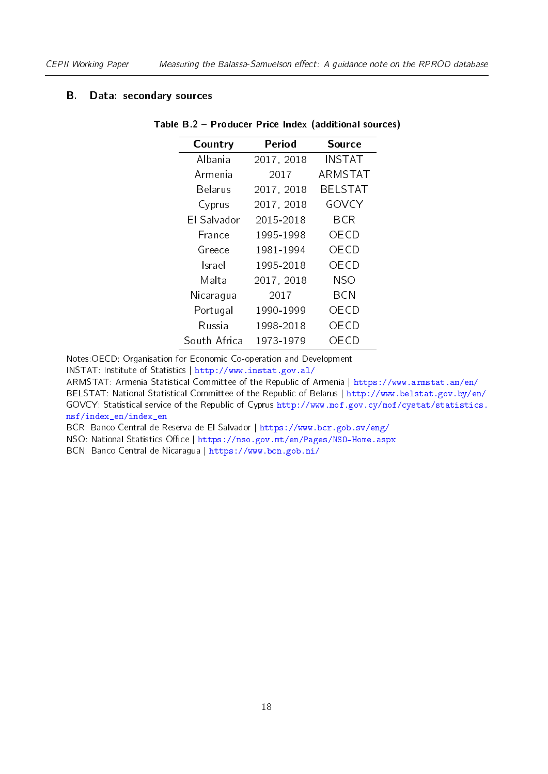#### <span id="page-17-0"></span>B. Data: secondary sources

| Country      | <b>Period</b> | <b>Source</b>  |
|--------------|---------------|----------------|
| Albania      | 2017, 2018    | INSTAT         |
| Armenia      | 2017          | ARMSTAT        |
| Belarus      | 2017, 2018    | <b>BELSTAT</b> |
| Cyprus       | 2017, 2018    | GOVCY          |
| El Salvador  | 2015-2018     | BCR            |
| France       | 1995-1998     | OECD           |
| Greece       | 1981-1994     | OECD           |
| Israel       | 1995-2018     | OECD           |
| Malta        | 2017, 2018    | <b>NSO</b>     |
| Nicaragua    | 2017          | BCN            |
| Portugal     | 1990-1999     | OECD           |
| Russia       | 1998-2018     | OECD           |
| South Africa | 1973-1979     | ( ) H ( )      |

#### Table B.2 Producer Price Index (additional sources)

Notes:OECD: Organisation for Economic Co-operation and Development

INSTAT: Institute of Statistics | <http://www.instat.gov.al/>

ARMSTAT: Armenia Statistical Committee of the Republic of Armenia | <https://www.armstat.am/en/> BELSTAT: National Statistical Committee of the Republic of Belarus | <http://www.belstat.gov.by/en/> GOVCY: Statistical service of the Republic of Cyprus [http://www.mof.gov.cy/mof/cystat/statistics.](http://www.mof.gov.cy/mof/cystat/statistics.nsf/index_en/index_en) [nsf/index\\_en/index\\_en](http://www.mof.gov.cy/mof/cystat/statistics.nsf/index_en/index_en)

BCR: Banco Central de Reserva de El Salvador | <https://www.bcr.gob.sv/eng/>

NSO: National Statistics Office | https://nso.gov.mt/en/Pages/NS0-Home.aspx

BCN: Banco Central de Nicaragua | <https://www.bcn.gob.ni/>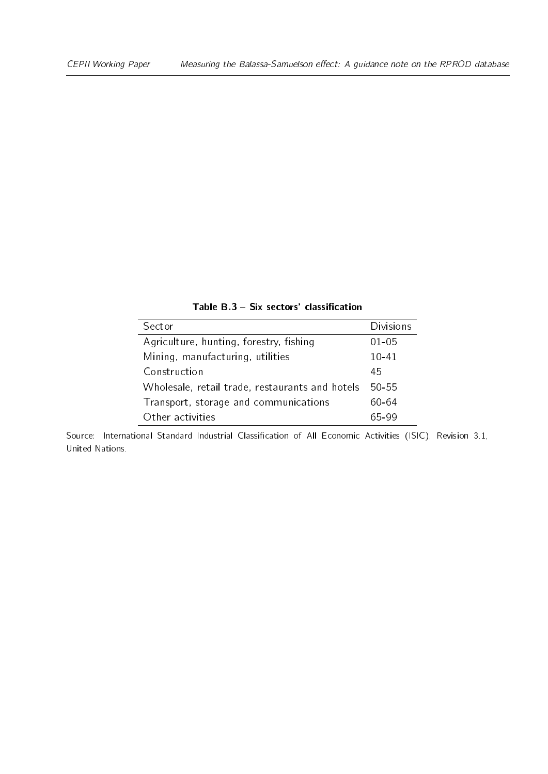Table  $B.3 - Six sectors' classification$ 

<span id="page-18-0"></span>

| Sector                                          | Divisions |
|-------------------------------------------------|-----------|
| Agriculture, hunting, forestry, fishing         | $01 - 05$ |
| Mining, manufacturing, utilities                | $10 - 41$ |
| Construction                                    | 45        |
| Wholesale, retail trade, restaurants and hotels | 50-55     |
| Transport, storage and communications           | 60-64     |
| Other activities                                | 65-99     |

Source: International Standard Industrial Classification of All Economic Activities (ISIC), Revision 3.1, United Nations.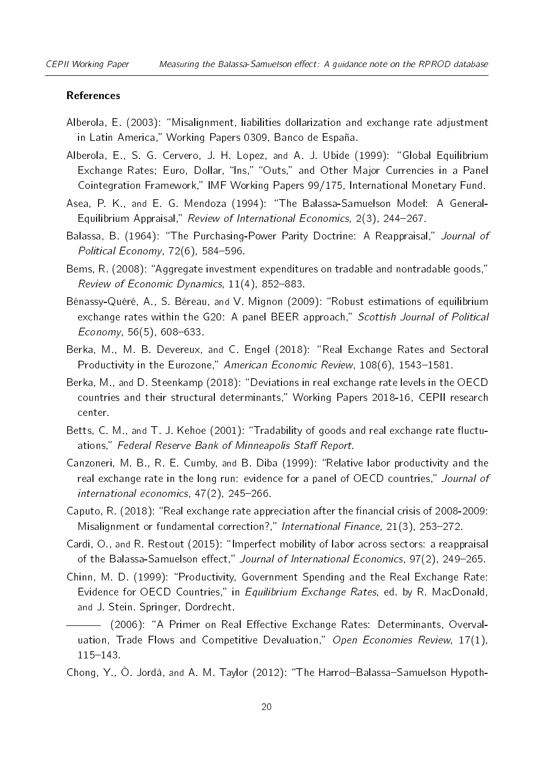#### References

- <span id="page-19-10"></span>Alberola, E. (2003): "Misalignment, liabilities dollarization and exchange rate adjustment in Latin America," Working Papers 0309, Banco de España.
- <span id="page-19-9"></span>Alberola, E., S. G. Cervero, J. H. Lopez, and A. J. Ubide (1999): "Global Equilibrium Exchange Rates; Euro, Dollar, "Ins," "Outs," and Other Major Currencies in a Panel Cointegration Framework," IMF Working Papers 99/175, International Monetary Fund.
- <span id="page-19-13"></span>Asea, P. K., and E. G. Mendoza (1994): The Balassa-Samuelson Model: A General-Equilibrium Appraisal," Review of International Economics, 2(3), 244–267.
- <span id="page-19-0"></span>Balassa, B. (1964): "The Purchasing-Power Parity Doctrine: A Reappraisal," Journal of Political Economy,  $72(6)$ , 584-596.
- <span id="page-19-12"></span>Bems, R. (2008): "Aggregate investment expenditures on tradable and nontradable goods," Review of Economic Dynamics,  $11(4)$ , 852-883.
- <span id="page-19-7"></span>Bénassy-Quéré, A., S. Béreau, and V. Mignon (2009): Robust estimations of equilibrium exchange rates within the G20: A panel BEER approach," Scottish Journal of Political Economy,  $56(5)$ ,  $608-633$ .
- <span id="page-19-4"></span>Berka, M., M. B. Devereux, and C. Engel (2018): "Real Exchange Rates and Sectoral Productivity in the Eurozone," American Economic Review, 108(6), 1543-1581.
- <span id="page-19-3"></span>Berka, M., and D. Steenkamp (2018): "Deviations in real exchange rate levels in the OECD countries and their structural determinants," Working Papers 2018-16, CEPII research center.
- <span id="page-19-11"></span>Betts, C. M., and T. J. Kehoe  $(2001)$ : "Tradability of goods and real exchange rate fluctuations," Federal Reserve Bank of Minneapolis Staff Report.
- <span id="page-19-6"></span>Canzoneri, M. B., R. E. Cumby, and B. Diba (1999): "Relative labor productivity and the real exchange rate in the long run; evidence for a panel of OECD countries," Journal of  $international economics, 47(2), 245-266.$
- <span id="page-19-8"></span>Caputo, R. (2018): "Real exchange rate appreciation after the financial crisis of 2008-2009: Misalignment or fundamental correction?," International Finance, 21(3), 253-272.
- <span id="page-19-2"></span>Cardi, O., and R. Restout (2015): "Imperfect mobility of labor across sectors: a reappraisal of the Balassa-Samuelson effect," Journal of International Economics, 97(2), 249–265.
- <span id="page-19-14"></span><span id="page-19-1"></span>Chinn, M. D. (1999): "Productivity, Government Spending and the Real Exchange Rate: Evidence for OECD Countries," in Equilibrium Exchange Rates, ed. by R. MacDonald, and J. Stein. Springer, Dordrecht.
	- (2006): "A Primer on Real Effective Exchange Rates: Determinants, Overvaluation, Trade Flows and Competitive Devaluation," Open Economies Review, 17(1), 115-143.
- <span id="page-19-5"></span>Chong, Y.,  $\tilde{O}$ . Jordà, and A. M. Taylor (2012): "The Harrod-Balassa-Samuelson Hypoth-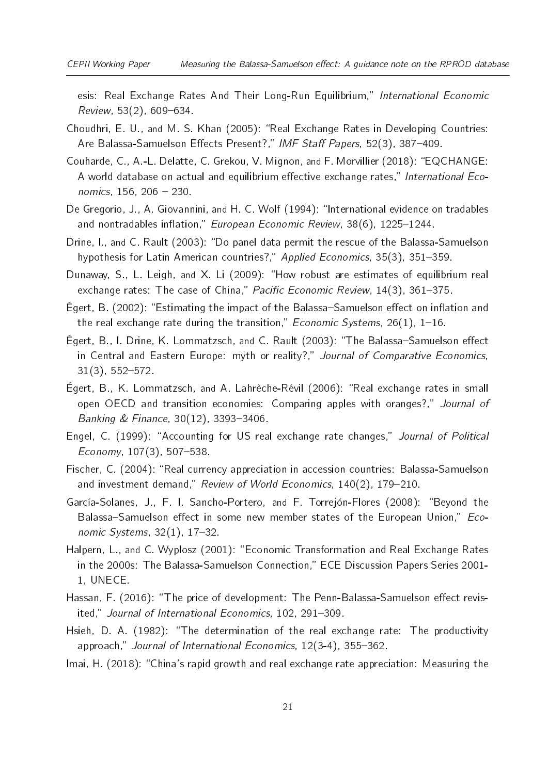esis: Real Exchange Rates And Their Long-Run Equilibrium," International Economic  $Review, 53(2), 609-634.$ 

- <span id="page-20-1"></span>Choudhri, E. U., and M. S. Khan (2005): "Real Exchange Rates in Developing Countries: Are Balassa-Samuelson Effects Present?," IMF Staff Papers, 52(3), 387-409.
- <span id="page-20-10"></span>Couharde, C., A.-L. Delatte, C. Grekou, V. Mignon, and F. Morvillier (2018): "EQCHANGE: A world database on actual and equilibrium effective exchange rates," International Economics,  $156, 206 - 230$ .
- <span id="page-20-11"></span>De Gregorio, J., A. Giovannini, and H. C. Wolf (1994): "International evidence on tradables and nontradables inflation," European Economic Review, 38(6), 1225-1244.
- <span id="page-20-0"></span>Drine, I., and C. Rault (2003): "Do panel data permit the rescue of the Balassa-Samuelson hypothesis for Latin American countries?," Applied Economics, 35(3), 351-359.
- <span id="page-20-13"></span>Dunaway, S., L. Leigh, and X. Li (2009): "How robust are estimates of equilibrium real exchange rates: The case of China," Pacific Economic Review, 14(3), 361-375.
- <span id="page-20-5"></span> $Éqert, B. (2002): "Estimating the impact of the Balassa-Samuelson effect on inflation and$ the real exchange rate during the transition," *Economic Systems*, 26(1),  $1-16$ .
- <span id="page-20-6"></span>Égert, B., J. Drine, K. Lommatzsch, and C. Rault (2003): "The Balassa-Samuelson effect in Central and Eastern Europe: myth or reality?," Journal of Comparative Economics,  $31(3)$ , 552-572.
- <span id="page-20-8"></span>Égert, B., K. Lommatzsch, and A. Lahrèche-Révil (2006): "Real exchange rates in small open OECD and transition economies: Comparing apples with oranges?," Journal of Banking  $&$  Finance, 30(12), 3393-3406.
- <span id="page-20-14"></span>Engel, C. (1999): "Accounting for US real exchange rate changes," Journal of Political  $Economy$ , 107(3), 507-538.
- <span id="page-20-7"></span>Fischer, C. (2004): "Real currency appreciation in accession countries: Balassa-Samuelson and investment demand," Review of World Economics, 140(2), 179-210.
- <span id="page-20-9"></span>García-Solanes, J., F. I. Sancho-Portero, and F. Torrejón-Flores (2008): "Beyond the Balassa-Samuelson effect in some new member states of the European Union," Economic Systems,  $32(1)$ ,  $17-32$ .
- <span id="page-20-4"></span>Halpern, L., and C. Wyplosz (2001): Economic Transformation and Real Exchange Rates in the 2000s: The Balassa-Samuelson Connection," ECE Discussion Papers Series 2001-1, UNECE.
- <span id="page-20-2"></span>Hassan, F. (2016): "The price of development: The Penn-Balassa-Samuelson effect revisited," Journal of International Economics, 102, 291-309.
- <span id="page-20-12"></span>Hsieh, D. A. (1982): "The determination of the real exchange rate: The productivity approach," Journal of International Economics, 12(3-4), 355-362.
- <span id="page-20-3"></span>Imai, H. (2018): China's rapid growth and real exchange rate appreciation: Measuring the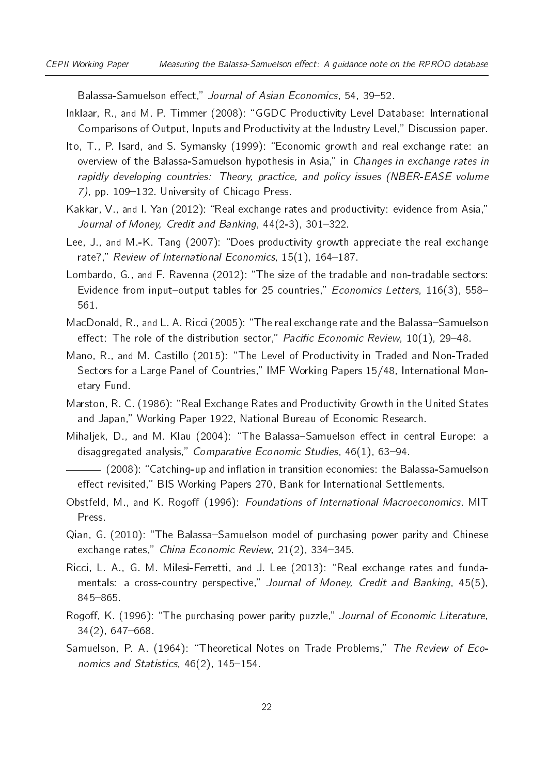Balassa-Samuelson effect," Journal of Asian Economics, 54, 39-52.

- <span id="page-21-6"></span>Inklaar, R., and M. P. Timmer (2008): "GGDC Productivity Level Database: International Comparisons of Output, Inputs and Productivity at the Industry Level," Discussion paper.
- <span id="page-21-1"></span>Ito, T., P. Isard, and S. Symansky (1999): "Economic growth and real exchange rate: an overview of the Balassa-Samuelson hypothesis in Asia," in Changes in exchange rates in rapidly developing countries: Theory, practice, and policy issues (NBER-EASE volume 7), pp. 109-132. University of Chicago Press.
- <span id="page-21-8"></span>Kakkar, V., and I. Yan (2012): "Real exchange rates and productivity: evidence from Asia," Journal of Money, Credit and Banking, 44(2-3), 301-322.
- <span id="page-21-14"></span>Lee, J., and M.-K. Tang (2007): "Does productivity growth appreciate the real exchange rate?," Review of International Economics, 15(1), 164-187.
- <span id="page-21-12"></span>Lombardo, G., and F. Ravenna (2012): "The size of the tradable and non-tradable sectors: Evidence from input-output tables for 25 countries," Economics Letters, 116(3), 558-561.
- <span id="page-21-13"></span>MacDonald,  $R_{\perp}$ , and L. A. Ricci (2005): "The real exchange rate and the Balassa-Samuelson effect: The role of the distribution sector," Pacific Economic Review,  $10(1)$ , 29-48.
- <span id="page-21-5"></span>Mano, R., and M. Castillo (2015): "The Level of Productivity in Traded and Non-Traded Sectors for a Large Panel of Countries," IMF Working Papers 15/48, International Monetary Fund.
- <span id="page-21-10"></span>Marston, R. C. (1986): "Real Exchange Rates and Productivity Growth in the United States and Japan," Working Paper 1922, National Bureau of Economic Research.
- <span id="page-21-3"></span>Mihaljek, D., and M. Klau (2004): "The Balassa-Samuelson effect in central Europe: a disaggregated analysis," Comparative Economic Studies,  $46(1)$ , 63-94.
- <span id="page-21-4"></span> $-$  (2008): "Catching-up and inflation in transition economies: the Balassa-Samuelson effect revisited," BIS Working Papers 270, Bank for International Settlements.
- <span id="page-21-7"></span>Obstfeld, M., and K. Rogoff (1996): Foundations of International Macroeconomics. MIT Press.
- <span id="page-21-2"></span>Qian, G. (2010): "The Balassa-Samuelson model of purchasing power parity and Chinese exchange rates," China Economic Review, 21(2), 334-345.
- <span id="page-21-11"></span>Ricci, L. A., G. M. Milesi-Ferretti, and J. Lee (2013): "Real exchange rates and fundamentals: a cross-country perspective," Journal of Money, Credit and Banking, 45(5), 845-865.
- <span id="page-21-9"></span>Rogoff, K. (1996): "The purchasing power parity puzzle," Journal of Economic Literature,  $34(2)$ , 647-668.
- <span id="page-21-0"></span>Samuelson, P. A. (1964): "Theoretical Notes on Trade Problems," The Review of Economics and Statistics,  $46(2)$ ,  $145-154$ .